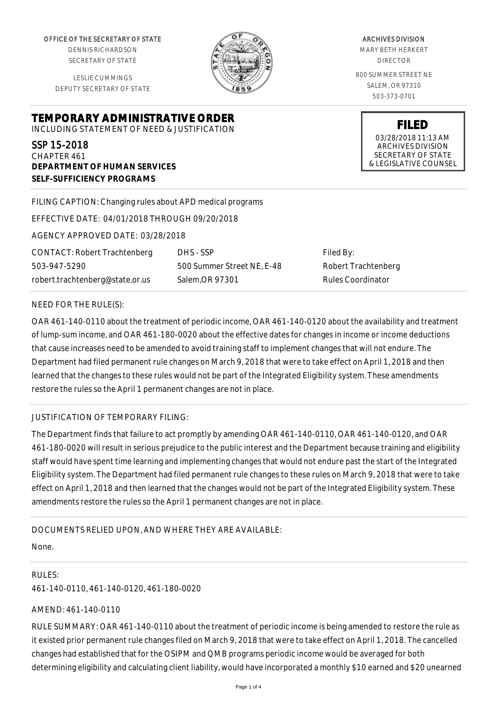OFFICE OF THE SECRETARY OF STATE

DENNIS RICHARDSON SECRETARY OF STATE

LESLIE CUMMINGS DEPUTY SECRETARY OF STATE

**DEPARTMENT OF HUMAN SERVICES**

**SELF-SUFFICIENCY PROGRAMS**



ARCHIVES DIVISION MARY BETH HERKERT DIRECTOR 800 SUMMER STREET NE SALEM, OR 97310 503-373-0701

> **FILED** 03/28/2018 11:13 AM ARCHIVES DIVISION SECRETARY OF STATE & LEGISLATIVE COUNSEL

FILING CAPTION: Changing rules about APD medical programs

EFFECTIVE DATE: 04/01/2018 THROUGH 09/20/2018

**TEMPORARY ADMINISTRATIVE ORDER** INCLUDING STATEMENT OF NEED & JUSTIFICATION

AGENCY APPROVED DATE: 03/28/2018

CONTACT: Robert Trachtenberg 503-947-5290 robert.trachtenberg@state.or.us

DHS - SSP 500 Summer Street NE, E-48 Salem,OR 97301

Filed By: Robert Trachtenberg Rules Coordinator

## NEED FOR THE RULE(S):

SSP 15-2018 CHAPTER 461

OAR 461-140-0110 about the treatment of periodic income, OAR 461-140-0120 about the availability and treatment of lump-sum income, and OAR 461-180-0020 about the effective dates for changes in income or income deductions that cause increases need to be amended to avoid training staff to implement changes that will not endure. The Department had filed permanent rule changes on March 9, 2018 that were to take effect on April 1, 2018 and then learned that the changes to these rules would not be part of the Integrated Eligibility system. These amendments restore the rules so the April 1 permanent changes are not in place.

# JUSTIFICATION OF TEMPORARY FILING:

The Department finds that failure to act promptly by amending OAR 461-140-0110, OAR 461-140-0120, and OAR 461-180-0020 will result in serious prejudice to the public interest and the Department because training and eligibility staff would have spent time learning and implementing changes that would not endure past the start of the Integrated Eligibility system. The Department had filed permanent rule changes to these rules on March 9, 2018 that were to take effect on April 1, 2018 and then learned that the changes would not be part of the Integrated Eligibility system. These amendments restore the rules so the April 1 permanent changes are not in place.

# DOCUMENTS RELIED UPON, AND WHERE THEY ARE AVAILABLE:

None.

RULES: 461-140-0110, 461-140-0120, 461-180-0020

# AMEND: 461-140-0110

RULE SUMMARY: OAR 461-140-0110 about the treatment of periodic income is being amended to restore the rule as it existed prior permanent rule changes filed on March 9, 2018 that were to take effect on April 1, 2018. The cancelled changes had established that for the OSIPM and QMB programs periodic income would be averaged for both determining eligibility and calculating client liability, would have incorporated a monthly \$10 earned and \$20 unearned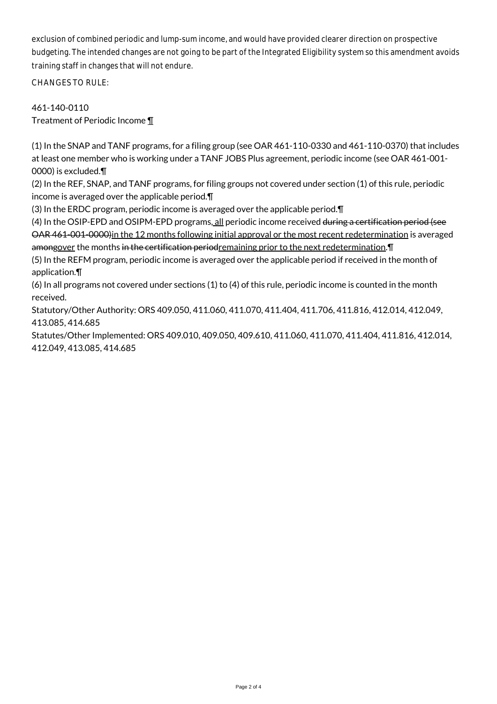exclusion of combined periodic and lump-sum income, and would have provided clearer direction on prospective budgeting. The intended changes are not going to be part of the Integrated Eligibility system so this amendment avoids training staff in changes that will not endure.

CHANGES TO RULE:

461-140-0110 Treatment of Periodic Income ¶

(1) In the SNAP and TANF programs, for a filing group (see OAR 461-110-0330 and 461-110-0370) that includes at least one member who is working under a TANF JOBS Plus agreement, periodic income (see OAR 461-001- 0000) is excluded.¶

(2) In the REF, SNAP, and TANF programs, for filing groups not covered under section (1) of this rule, periodic income is averaged over the applicable period.¶

(3) In the ERDC program, periodic income is averaged over the applicable period.¶

(4) In the OSIP-EPD and OSIPM-EPD programs, all periodic income received during a certification period (see OAR 461-001-0000)in the 12 months following initial approval or the most recent redetermination is averaged

amongover the months in the certification periodremaining prior to the next redetermination. T (5) In the REFM program, periodic income is averaged over the applicable period if received in the month of application.¶

(6) In all programs not covered under sections (1) to (4) of this rule, periodic income is counted in the month received.

Statutory/Other Authority: ORS 409.050, 411.060, 411.070, 411.404, 411.706, 411.816, 412.014, 412.049, 413.085, 414.685

Statutes/Other Implemented: ORS 409.010, 409.050, 409.610, 411.060, 411.070, 411.404, 411.816, 412.014, 412.049, 413.085, 414.685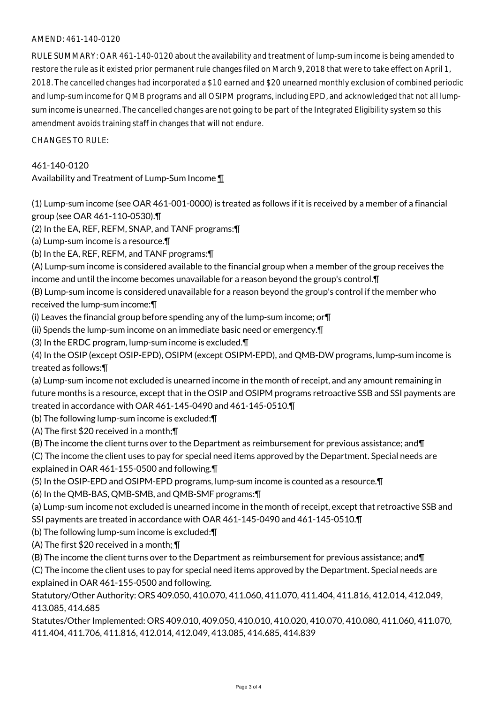## AMEND: 461-140-0120

RULE SUMMARY: OAR 461-140-0120 about the availability and treatment of lump-sum income is being amended to restore the rule as it existed prior permanent rule changes filed on March 9, 2018 that were to take effect on April 1, 2018. The cancelled changes had incorporated a \$10 earned and \$20 unearned monthly exclusion of combined periodic and lump-sum income for QMB programs and all OSIPM programs, including EPD, and acknowledged that not all lumpsum income is unearned. The cancelled changes are not going to be part of the Integrated Eligibility system so this amendment avoids training staff in changes that will not endure.

CHANGES TO RULE:

## 461-140-0120

Availability and Treatment of Lump-Sum Income ¶

(1) Lump-sum income (see OAR 461-001-0000) is treated as follows if it is received by a member of a financial group (see OAR 461-110-0530).¶

(2) In the EA, REF, REFM, SNAP, and TANF programs:¶

(a) Lump-sum income is a resource.¶

(b) In the EA, REF, REFM, and TANF programs:¶

(A) Lump-sum income is considered available to the financial group when a member of the group receives the income and until the income becomes unavailable for a reason beyond the group's control.¶

(B) Lump-sum income is considered unavailable for a reason beyond the group's control if the member who received the lump-sum income:¶

(i) Leaves the financial group before spending any of the lump-sum income; or¶

(ii) Spends the lump-sum income on an immediate basic need or emergency.¶

(3) In the ERDC program, lump-sum income is excluded.¶

(4) In the OSIP (except OSIP-EPD), OSIPM (except OSIPM-EPD), and QMB-DW programs, lump-sum income is treated as follows:¶

(a) Lump-sum income not excluded is unearned income in the month of receipt, and any amount remaining in future months is a resource, except that in the OSIP and OSIPM programs retroactive SSB and SSI payments are treated in accordance with OAR 461-145-0490 and 461-145-0510.¶

(b) The following lump-sum income is excluded:¶

(A) The first \$20 received in a month;¶

(B) The income the client turns over to the Department as reimbursement for previous assistance; and¶

(C) The income the client uses to pay for special need items approved by the Department. Special needs are explained in OAR 461-155-0500 and following.¶

(5) In the OSIP-EPD and OSIPM-EPD programs, lump-sum income is counted as a resource.¶

(6) In the QMB-BAS, QMB-SMB, and QMB-SMF programs:¶

(a) Lump-sum income not excluded is unearned income in the month of receipt, except that retroactive SSB and SSI payments are treated in accordance with OAR 461-145-0490 and 461-145-0510.¶

(b) The following lump-sum income is excluded:¶

(A) The first \$20 received in a month; ¶

(B) The income the client turns over to the Department as reimbursement for previous assistance; and¶

(C) The income the client uses to pay for special need items approved by the Department. Special needs are explained in OAR 461-155-0500 and following.

Statutory/Other Authority: ORS 409.050, 410.070, 411.060, 411.070, 411.404, 411.816, 412.014, 412.049, 413.085, 414.685

Statutes/Other Implemented: ORS 409.010, 409.050, 410.010, 410.020, 410.070, 410.080, 411.060, 411.070, 411.404, 411.706, 411.816, 412.014, 412.049, 413.085, 414.685, 414.839